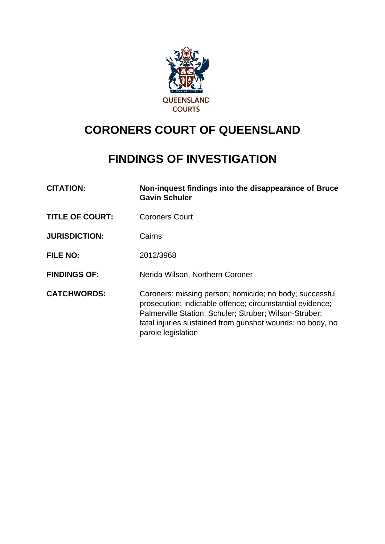

# **CORONERS COURT OF QUEENSLAND**

# **FINDINGS OF INVESTIGATION**

| <b>CITATION:</b>       | Non-inquest findings into the disappearance of Bruce<br><b>Gavin Schuler</b>                                                                                                                                                                                      |  |
|------------------------|-------------------------------------------------------------------------------------------------------------------------------------------------------------------------------------------------------------------------------------------------------------------|--|
| <b>TITLE OF COURT:</b> | <b>Coroners Court</b>                                                                                                                                                                                                                                             |  |
| <b>JURISDICTION:</b>   | Cairns                                                                                                                                                                                                                                                            |  |
| <b>FILE NO:</b>        | 2012/3968                                                                                                                                                                                                                                                         |  |
| <b>FINDINGS OF:</b>    | Nerida Wilson, Northern Coroner                                                                                                                                                                                                                                   |  |
| <b>CATCHWORDS:</b>     | Coroners: missing person; homicide; no body; successful<br>prosecution; indictable offence; circumstantial evidence;<br>Palmerville Station; Schuler; Struber; Wilson-Struber;<br>fatal injuries sustained from gunshot wounds; no body, no<br>parole legislation |  |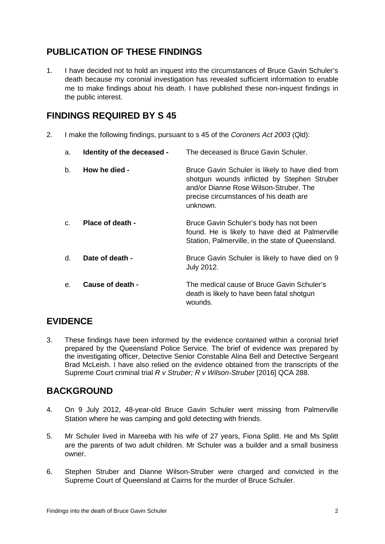# **PUBLICATION OF THESE FINDINGS**

1. I have decided not to hold an inquest into the circumstances of Bruce Gavin Schuler's death because my coronial investigation has revealed sufficient information to enable me to make findings about his death. I have published these non-inquest findings in the public interest.

# **FINDINGS REQUIRED BY S 45**

2. I make the following findings, pursuant to s 45 of the *Coroners Act 2003* (Qld):

| a.          | Identity of the deceased - | The deceased is Bruce Gavin Schuler.                                                                                                                                                           |
|-------------|----------------------------|------------------------------------------------------------------------------------------------------------------------------------------------------------------------------------------------|
| b.          | How he died -              | Bruce Gavin Schuler is likely to have died from<br>shotgun wounds inflicted by Stephen Struber<br>and/or Dianne Rose Wilson-Struber. The<br>precise circumstances of his death are<br>unknown. |
| $C_{\cdot}$ | Place of death -           | Bruce Gavin Schuler's body has not been<br>found. He is likely to have died at Palmerville<br>Station, Palmerville, in the state of Queensland.                                                |
| $d_{\cdot}$ | Date of death -            | Bruce Gavin Schuler is likely to have died on 9<br>July 2012.                                                                                                                                  |
| е.          | Cause of death -           | The medical cause of Bruce Gavin Schuler's<br>death is likely to have been fatal shotgun<br>wounds.                                                                                            |

# **EVIDENCE**

3. These findings have been informed by the evidence contained within a coronial brief prepared by the Queensland Police Service. The brief of evidence was prepared by the investigating officer, Detective Senior Constable Alina Bell and Detective Sergeant Brad McLeish. I have also relied on the evidence obtained from the transcripts of the Supreme Court criminal trial *R v Struber; R v Wilson-Struber* [2016] QCA 288.

# **BACKGROUND**

- 4. On 9 July 2012, 48-year-old Bruce Gavin Schuler went missing from Palmerville Station where he was camping and gold detecting with friends.
- 5. Mr Schuler lived in Mareeba with his wife of 27 years, Fiona Splitt. He and Ms Splitt are the parents of two adult children. Mr Schuler was a builder and a small business owner.
- 6. Stephen Struber and Dianne Wilson-Struber were charged and convicted in the Supreme Court of Queensland at Cairns for the murder of Bruce Schuler.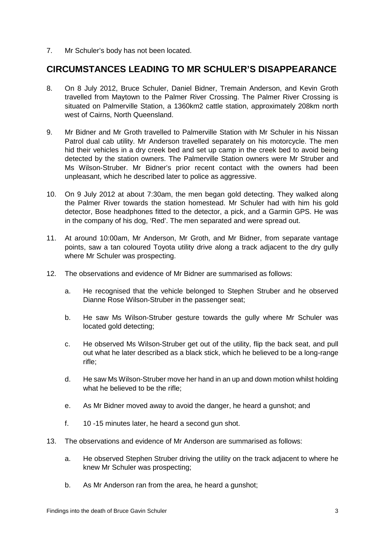7. Mr Schuler's body has not been located.

#### **CIRCUMSTANCES LEADING TO MR SCHULER'S DISAPPEARANCE**

- 8. On 8 July 2012, Bruce Schuler, Daniel Bidner, Tremain Anderson, and Kevin Groth travelled from Maytown to the Palmer River Crossing. The Palmer River Crossing is situated on Palmerville Station, a 1360km2 cattle station, approximately 208km north west of Cairns, North Queensland.
- 9. Mr Bidner and Mr Groth travelled to Palmerville Station with Mr Schuler in his Nissan Patrol dual cab utility. Mr Anderson travelled separately on his motorcycle. The men hid their vehicles in a dry creek bed and set up camp in the creek bed to avoid being detected by the station owners. The Palmerville Station owners were Mr Struber and Ms Wilson-Struber. Mr Bidner's prior recent contact with the owners had been unpleasant, which he described later to police as aggressive.
- 10. On 9 July 2012 at about 7:30am, the men began gold detecting. They walked along the Palmer River towards the station homestead. Mr Schuler had with him his gold detector, Bose headphones fitted to the detector, a pick, and a Garmin GPS. He was in the company of his dog, 'Red'. The men separated and were spread out.
- 11. At around 10:00am, Mr Anderson, Mr Groth, and Mr Bidner, from separate vantage points, saw a tan coloured Toyota utility drive along a track adjacent to the dry gully where Mr Schuler was prospecting.
- 12. The observations and evidence of Mr Bidner are summarised as follows:
	- a. He recognised that the vehicle belonged to Stephen Struber and he observed Dianne Rose Wilson-Struber in the passenger seat;
	- b. He saw Ms Wilson-Struber gesture towards the gully where Mr Schuler was located gold detecting;
	- c. He observed Ms Wilson-Struber get out of the utility, flip the back seat, and pull out what he later described as a black stick, which he believed to be a long-range rifle;
	- d. He saw Ms Wilson-Struber move her hand in an up and down motion whilst holding what he believed to be the rifle:
	- e. As Mr Bidner moved away to avoid the danger, he heard a gunshot; and
	- f. 10 -15 minutes later, he heard a second gun shot.
- 13. The observations and evidence of Mr Anderson are summarised as follows:
	- a. He observed Stephen Struber driving the utility on the track adjacent to where he knew Mr Schuler was prospecting;
	- b. As Mr Anderson ran from the area, he heard a gunshot;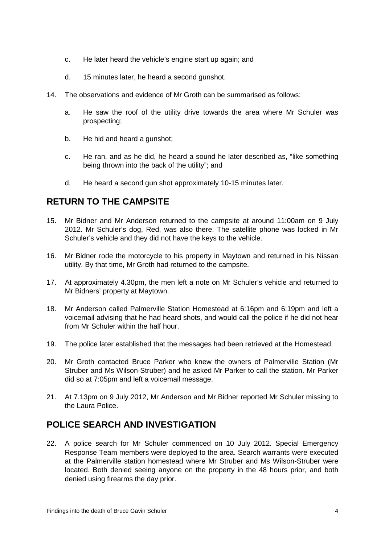- c. He later heard the vehicle's engine start up again; and
- d. 15 minutes later, he heard a second gunshot.
- 14. The observations and evidence of Mr Groth can be summarised as follows:
	- a. He saw the roof of the utility drive towards the area where Mr Schuler was prospecting;
	- b. He hid and heard a gunshot;
	- c. He ran, and as he did, he heard a sound he later described as, "like something being thrown into the back of the utility"; and
	- d. He heard a second gun shot approximately 10-15 minutes later.

# **RETURN TO THE CAMPSITE**

- 15. Mr Bidner and Mr Anderson returned to the campsite at around 11:00am on 9 July 2012. Mr Schuler's dog, Red, was also there. The satellite phone was locked in Mr Schuler's vehicle and they did not have the keys to the vehicle.
- 16. Mr Bidner rode the motorcycle to his property in Maytown and returned in his Nissan utility. By that time, Mr Groth had returned to the campsite.
- 17. At approximately 4.30pm, the men left a note on Mr Schuler's vehicle and returned to Mr Bidners' property at Maytown.
- 18. Mr Anderson called Palmerville Station Homestead at 6:16pm and 6:19pm and left a voicemail advising that he had heard shots, and would call the police if he did not hear from Mr Schuler within the half hour.
- 19. The police later established that the messages had been retrieved at the Homestead.
- 20. Mr Groth contacted Bruce Parker who knew the owners of Palmerville Station (Mr Struber and Ms Wilson-Struber) and he asked Mr Parker to call the station. Mr Parker did so at 7:05pm and left a voicemail message.
- 21. At 7.13pm on 9 July 2012, Mr Anderson and Mr Bidner reported Mr Schuler missing to the Laura Police.

# **POLICE SEARCH AND INVESTIGATION**

22. A police search for Mr Schuler commenced on 10 July 2012. Special Emergency Response Team members were deployed to the area. Search warrants were executed at the Palmerville station homestead where Mr Struber and Ms Wilson-Struber were located. Both denied seeing anyone on the property in the 48 hours prior, and both denied using firearms the day prior.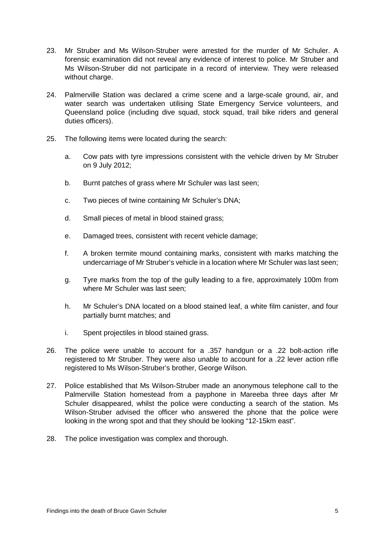- 23. Mr Struber and Ms Wilson-Struber were arrested for the murder of Mr Schuler. A forensic examination did not reveal any evidence of interest to police. Mr Struber and Ms Wilson-Struber did not participate in a record of interview. They were released without charge.
- 24. Palmerville Station was declared a crime scene and a large-scale ground, air, and water search was undertaken utilising State Emergency Service volunteers, and Queensland police (including dive squad, stock squad, trail bike riders and general duties officers).
- 25. The following items were located during the search:
	- a. Cow pats with tyre impressions consistent with the vehicle driven by Mr Struber on 9 July 2012;
	- b. Burnt patches of grass where Mr Schuler was last seen;
	- c. Two pieces of twine containing Mr Schuler's DNA;
	- d. Small pieces of metal in blood stained grass;
	- e. Damaged trees, consistent with recent vehicle damage;
	- f. A broken termite mound containing marks, consistent with marks matching the undercarriage of Mr Struber's vehicle in a location where Mr Schuler was last seen;
	- g. Tyre marks from the top of the gully leading to a fire, approximately 100m from where Mr Schuler was last seen;
	- h. Mr Schuler's DNA located on a blood stained leaf, a white film canister, and four partially burnt matches; and
	- i. Spent projectiles in blood stained grass.
- 26. The police were unable to account for a .357 handgun or a .22 bolt-action rifle registered to Mr Struber. They were also unable to account for a .22 lever action rifle registered to Ms Wilson-Struber's brother, George Wilson.
- 27. Police established that Ms Wilson-Struber made an anonymous telephone call to the Palmerville Station homestead from a payphone in Mareeba three days after Mr Schuler disappeared, whilst the police were conducting a search of the station. Ms Wilson-Struber advised the officer who answered the phone that the police were looking in the wrong spot and that they should be looking "12-15km east".
- 28. The police investigation was complex and thorough.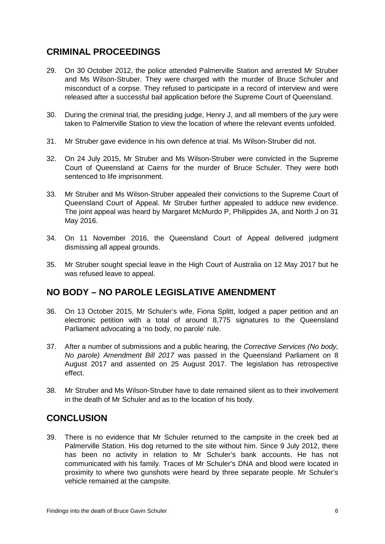# **CRIMINAL PROCEEDINGS**

- 29. On 30 October 2012, the police attended Palmerville Station and arrested Mr Struber and Ms Wilson-Struber. They were charged with the murder of Bruce Schuler and misconduct of a corpse. They refused to participate in a record of interview and were released after a successful bail application before the Supreme Court of Queensland.
- 30. During the criminal trial, the presiding judge, Henry J, and all members of the jury were taken to Palmerville Station to view the location of where the relevant events unfolded.
- 31. Mr Struber gave evidence in his own defence at trial. Ms Wilson-Struber did not.
- 32. On 24 July 2015, Mr Struber and Ms Wilson-Struber were convicted in the Supreme Court of Queensland at Cairns for the murder of Bruce Schuler. They were both sentenced to life imprisonment.
- 33. Mr Struber and Ms Wilson-Struber appealed their convictions to the Supreme Court of Queensland Court of Appeal. Mr Struber further appealed to adduce new evidence. The joint appeal was heard by Margaret McMurdo P, Philippides JA, and North J on 31 May 2016.
- 34. On 11 November 2016, the Queensland Court of Appeal delivered judgment dismissing all appeal grounds.
- 35. Mr Struber sought special leave in the High Court of Australia on 12 May 2017 but he was refused leave to appeal.

#### **NO BODY – NO PAROLE LEGISLATIVE AMENDMENT**

- 36. On 13 October 2015, Mr Schuler's wife, Fiona Splitt, lodged a paper petition and an electronic petition with a total of around 8,775 signatures to the Queensland Parliament advocating a 'no body, no parole' rule.
- 37. After a number of submissions and a public hearing, the *Corrective Services (No body, No parole) Amendment Bill 2017* was passed in the Queensland Parliament on 8 August 2017 and assented on 25 August 2017. The legislation has retrospective effect.
- 38. Mr Struber and Ms Wilson-Struber have to date remained silent as to their involvement in the death of Mr Schuler and as to the location of his body.

# **CONCLUSION**

39. There is no evidence that Mr Schuler returned to the campsite in the creek bed at Palmerville Station. His dog returned to the site without him. Since 9 July 2012, there has been no activity in relation to Mr Schuler's bank accounts. He has not communicated with his family. Traces of Mr Schuler's DNA and blood were located in proximity to where two gunshots were heard by three separate people. Mr Schuler's vehicle remained at the campsite.